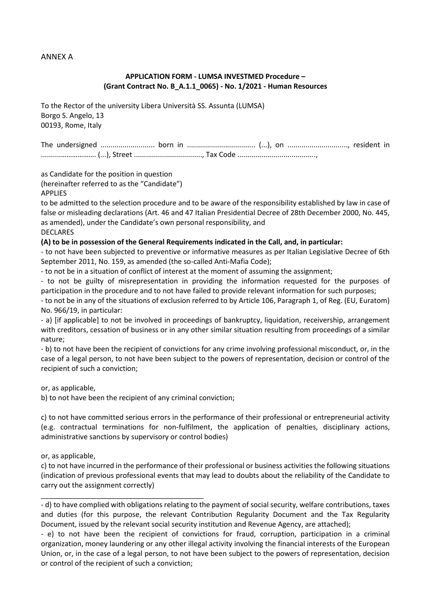## ANNEX A

## **APPLICATION FORM - LUMSA INVESTMED Procedure – (Grant Contract No. B\_A.1.1\_0065) - No. 1/2021 - Human Resources**

To the Rector of the university Libera Università SS. Assunta (LUMSA) Borgo S. Angelo, 13 00193, Rome, Italy

The undersigned ........................... born in .................................. (...), on .............................., resident in ..........………………. (...), Street .................................., Tax Code .......................................,

as Candidate for the position in question

(hereinafter referred to as the "Candidate")

#### APPLIES

to be admitted to the selection procedure and to be aware of the responsibility established by law in case of false or misleading declarations (Art. 46 and 47 Italian Presidential Decree of 28th December 2000, No. 445, as amended), under the Candidate's own personal responsibility, and DECLARES

## **(A) to be in possession of the General Requirements indicated in the Call, and, in particular:**

- to not have been subjected to preventive or informative measures as per Italian Legislative Decree of 6th September 2011, No. 159, as amended (the so-called Anti-Mafia Code);

- to not be in a situation of conflict of interest at the moment of assuming the assignment;

- to not be guilty of misrepresentation in providing the information requested for the purposes of participation in the procedure and to not have failed to provide relevant information for such purposes;

- to not be in any of the situations of exclusion referred to by Article 106, Paragraph 1, of Reg. (EU, Euratom) No. 966/19, in particular:

- a) [if applicable] to not be involved in proceedings of bankruptcy, liquidation, receivership, arrangement with creditors, cessation of business or in any other similar situation resulting from proceedings of a similar nature;

- b) to not have been the recipient of convictions for any crime involving professional misconduct, or, in the case of a legal person, to not have been subject to the powers of representation, decision or control of the recipient of such a conviction;

or, as applicable,

b) to not have been the recipient of any criminal conviction;

\_\_\_\_\_\_\_\_\_\_\_\_\_\_\_\_\_\_\_\_\_\_\_\_\_\_\_\_\_\_\_\_\_\_\_\_\_\_\_\_\_

c) to not have committed serious errors in the performance of their professional or entrepreneurial activity (e.g. contractual terminations for non-fulfilment, the application of penalties, disciplinary actions, administrative sanctions by supervisory or control bodies)

or, as applicable,

c) to not have incurred in the performance of their professional or business activities the following situations (indication of previous professional events that may lead to doubts about the reliability of the Candidate to carry out the assignment correctly)

- d) to have complied with obligations relating to the payment of social security, welfare contributions, taxes and duties (for this purpose, the relevant Contribution Regularity Document and the Tax Regularity Document, issued by the relevant social security institution and Revenue Agency, are attached);

- e) to not have been the recipient of convictions for fraud, corruption, participation in a criminal organization, money laundering or any other illegal activity involving the financial interests of the European Union, or, in the case of a legal person, to not have been subject to the powers of representation, decision or control of the recipient of such a conviction;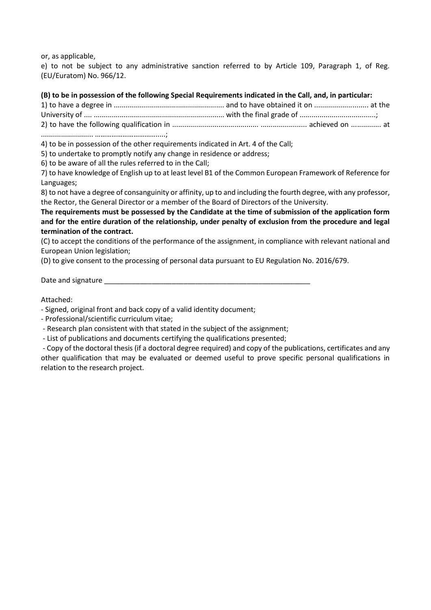or, as applicable,

e) to not be subject to any administrative sanction referred to by Article 109, Paragraph 1, of Reg. (EU/Euratom) No. 966/12.

## **(B) to be in possession of the following Special Requirements indicated in the Call, and, in particular:**

4) to be in possession of the other requirements indicated in Art. 4 of the Call;

5) to undertake to promptly notify any change in residence or address;

6) to be aware of all the rules referred to in the Call;

7) to have knowledge of English up to at least level B1 of the Common European Framework of Reference for Languages;

8) to not have a degree of consanguinity or affinity, up to and including the fourth degree, with any professor, the Rector, the General Director or a member of the Board of Directors of the University.

**The requirements must be possessed by the Candidate at the time of submission of the application form and for the entire duration of the relationship, under penalty of exclusion from the procedure and legal termination of the contract.** 

(C) to accept the conditions of the performance of the assignment, in compliance with relevant national and European Union legislation;

(D) to give consent to the processing of personal data pursuant to EU Regulation No. 2016/679.

Date and signature

Attached:

- Signed, original front and back copy of a valid identity document;

- Professional/scientific curriculum vitae;

- Research plan consistent with that stated in the subject of the assignment;

- List of publications and documents certifying the qualifications presented;

- Copy of the doctoral thesis (if a doctoral degree required) and copy of the publications, certificates and any other qualification that may be evaluated or deemed useful to prove specific personal qualifications in relation to the research project.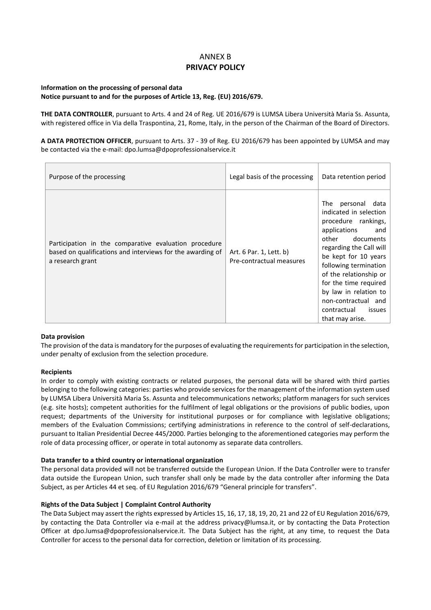## ANNEX B **PRIVACY POLICY**

#### **Information on the processing of personal data Notice pursuant to and for the purposes of Article 13, Reg. (EU) 2016/679.**

**THE DATA CONTROLLER**, pursuant to Arts. 4 and 24 of Reg. UE 2016/679 is LUMSA Libera Università Maria Ss. Assunta, with registered office in Via della Traspontina, 21, Rome, Italy, in the person of the Chairman of the Board of Directors.

**A DATA PROTECTION OFFICER**, pursuant to Arts. 37 - 39 of Reg. EU 2016/679 has been appointed by LUMSA and may be contacted via the e-mail: dpo.lumsa@dpoprofessionalservice.it

| Purpose of the processing                                                                                                               | Legal basis of the processing                       | Data retention period                                                                                                                                                                                                                                                                                                                         |
|-----------------------------------------------------------------------------------------------------------------------------------------|-----------------------------------------------------|-----------------------------------------------------------------------------------------------------------------------------------------------------------------------------------------------------------------------------------------------------------------------------------------------------------------------------------------------|
| Participation in the comparative evaluation procedure<br>based on qualifications and interviews for the awarding of<br>a research grant | Art. 6 Par. 1, Lett. b)<br>Pre-contractual measures | The<br>personal data<br>indicated in selection<br>procedure rankings,<br>applications<br>and<br>other<br>documents<br>regarding the Call will<br>be kept for 10 years<br>following termination<br>of the relationship or<br>for the time required<br>by law in relation to<br>non-contractual and<br>contractual<br>issues<br>that may arise. |

#### **Data provision**

The provision of the data is mandatory for the purposes of evaluating the requirements for participation in the selection, under penalty of exclusion from the selection procedure.

#### **Recipients**

In order to comply with existing contracts or related purposes, the personal data will be shared with third parties belonging to the following categories: parties who provide services for the management of the information system used by LUMSA Libera Università Maria Ss. Assunta and telecommunications networks; platform managers for such services (e.g. site hosts); competent authorities for the fulfilment of legal obligations or the provisions of public bodies, upon request; departments of the University for institutional purposes or for compliance with legislative obligations; members of the Evaluation Commissions; certifying administrations in reference to the control of self-declarations, pursuant to Italian Presidential Decree 445/2000. Parties belonging to the aforementioned categories may perform the role of data processing officer, or operate in total autonomy as separate data controllers.

#### **Data transfer to a third country or international organization**

The personal data provided will not be transferred outside the European Union. If the Data Controller were to transfer data outside the European Union, such transfer shall only be made by the data controller after informing the Data Subject, as per Articles 44 et seq. of EU Regulation 2016/679 "General principle for transfers".

#### **Rights of the Data Subject | Complaint Control Authority**

The Data Subject may assert the rights expressed by Articles 15, 16, 17, 18, 19, 20, 21 and 22 of EU Regulation 2016/679, by contacting the Data Controller via e-mail at the address privacy@lumsa.it, or by contacting the Data Protection Officer at dpo.lumsa@dpoprofessionalservice.it. The Data Subject has the right, at any time, to request the Data Controller for access to the personal data for correction, deletion or limitation of its processing.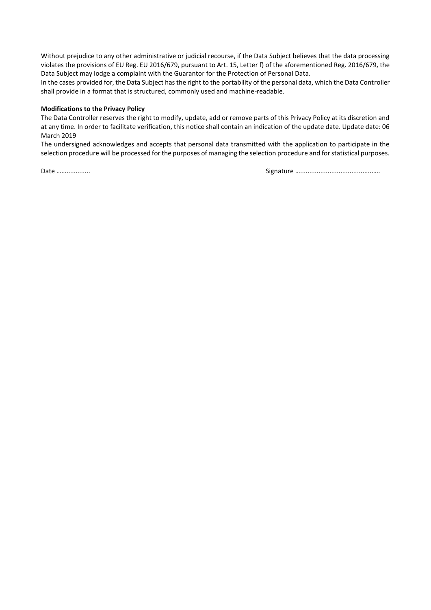Without prejudice to any other administrative or judicial recourse, if the Data Subject believes that the data processing violates the provisions of EU Reg. EU 2016/679, pursuant to Art. 15, Letter f) of the aforementioned Reg. 2016/679, the Data Subject may lodge a complaint with the Guarantor for the Protection of Personal Data.

In the cases provided for, the Data Subject has the right to the portability of the personal data, which the Data Controller shall provide in a format that is structured, commonly used and machine-readable.

#### **Modifications to the Privacy Policy**

The Data Controller reserves the right to modify, update, add or remove parts of this Privacy Policy at its discretion and at any time. In order to facilitate verification, this notice shall contain an indication of the update date. Update date: 06 March 2019

The undersigned acknowledges and accepts that personal data transmitted with the application to participate in the selection procedure will be processed for the purposes of managing the selection procedure and for statistical purposes.

Date ……............. Signature ….......................................…..